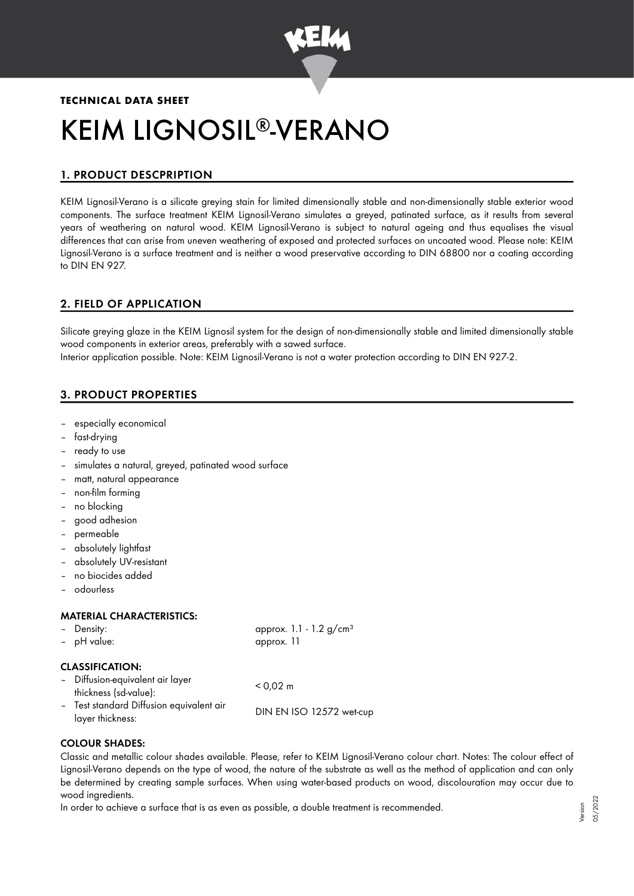

# **TECHNICAL DATA SHEET** KEIM LIGNOSIL®-VERANO

# 1. PRODUCT DESCPRIPTION

KEIM Lignosil-Verano is a silicate greying stain for limited dimensionally stable and non-dimensionally stable exterior wood components. The surface treatment KEIM Lignosil-Verano simulates a greyed, patinated surface, as it results from several years of weathering on natural wood. KEIM Lignosil-Verano is subject to natural ageing and thus equalises the visual differences that can arise from uneven weathering of exposed and protected surfaces on uncoated wood. Please note: KEIM Lignosil-Verano is a surface treatment and is neither a wood preservative according to DIN 68800 nor a coating according to DIN EN 927.

## 2. FIELD OF APPLICATION

Silicate greying glaze in the KEIM Lignosil system for the design of non-dimensionally stable and limited dimensionally stable wood components in exterior areas, preferably with a sawed surface. Interior application possible. Note: KEIM Lignosil-Verano is not a water protection according to DIN EN 927-2.

# 3. PRODUCT PROPERTIES

- especially economical
- fast-drying
- ready to use
- simulates a natural, greyed, patinated wood surface
- matt, natural appearance
- non-film forming
- no blocking
- good adhesion
- permeable
- absolutely lightfast
- absolutely UV-resistant
- no biocides added
- odourless

#### MATERIAL CHARACTERISTICS:

| - Density:  | approx. 1.1 - 1.2 $g/cm^{3}$ |
|-------------|------------------------------|
| - pH value: | approx. 11                   |

#### CLASSIFICATION:

| - Diffusion-equivalent air layer<br>thickness (sd-value):    | $< 0.02$ m               |
|--------------------------------------------------------------|--------------------------|
| - Test standard Diffusion equivalent air<br>layer thickness: | DIN EN ISO 12572 wet-cup |

#### COLOUR SHADES:

Classic and metallic colour shades available. Please, refer to KEIM Lignosil-Verano colour chart. Notes: The colour effect of Lignosil-Verano depends on the type of wood, the nature of the substrate as well as the method of application and can only be determined by creating sample surfaces. When using water-based products on wood, discolouration may occur due to wood ingredients.

In order to achieve a surface that is as even as possible, a double treatment is recommended.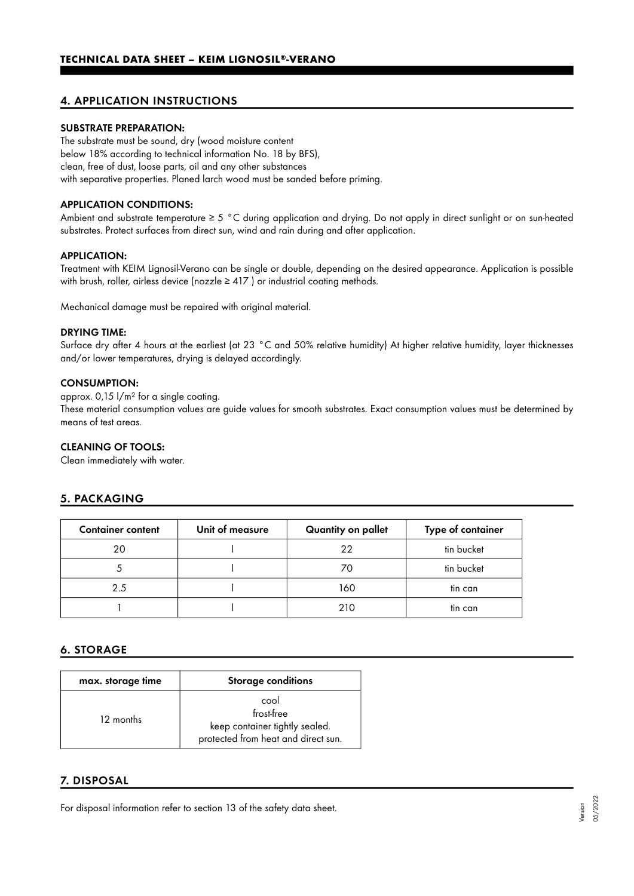## 4. APPLICATION INSTRUCTIONS

#### SUBSTRATE PREPARATION:

The substrate must be sound, dry (wood moisture content below 18% according to technical information No. 18 by BFS), clean, free of dust, loose parts, oil and any other substances with separative properties. Planed larch wood must be sanded before priming.

#### APPLICATION CONDITIONS:

Ambient and substrate temperature  $\geq 5$  °C during application and drying. Do not apply in direct sunlight or on sun-heated substrates. Protect surfaces from direct sun, wind and rain during and after application.

#### APPLICATION:

Treatment with KEIM Lignosil-Verano can be single or double, depending on the desired appearance. Application is possible with brush, roller, airless device (nozzle  $\geq$  417) or industrial coating methods.

Mechanical damage must be repaired with original material.

#### DRYING TIME:

Surface dry after 4 hours at the earliest (at 23 °C and 50% relative humidity) At higher relative humidity, layer thicknesses and/or lower temperatures, drying is delayed accordingly.

#### CONSUMPTION:

approx. 0,15 l/m² for a single coating.

These material consumption values are guide values for smooth substrates. Exact consumption values must be determined by means of test areas.

#### CLEANING OF TOOLS:

Clean immediately with water.

## 5. PACKAGING

| <b>Container content</b> | Unit of measure | Quantity on pallet | Type of container |
|--------------------------|-----------------|--------------------|-------------------|
| 20                       |                 | 22                 | tin bucket        |
|                          |                 | 70                 | tin bucket        |
| 2.5                      |                 | 160                | tin can           |
|                          |                 | 210                | tin can           |

## 6. STORAGE

| max. storage time | <b>Storage conditions</b>                                                                   |
|-------------------|---------------------------------------------------------------------------------------------|
| 12 months         | cool<br>frost-free<br>keep container tightly sealed.<br>protected from heat and direct sun. |

## 7. DISPOSAL

For disposal information refer to section 13 of the safety data sheet.